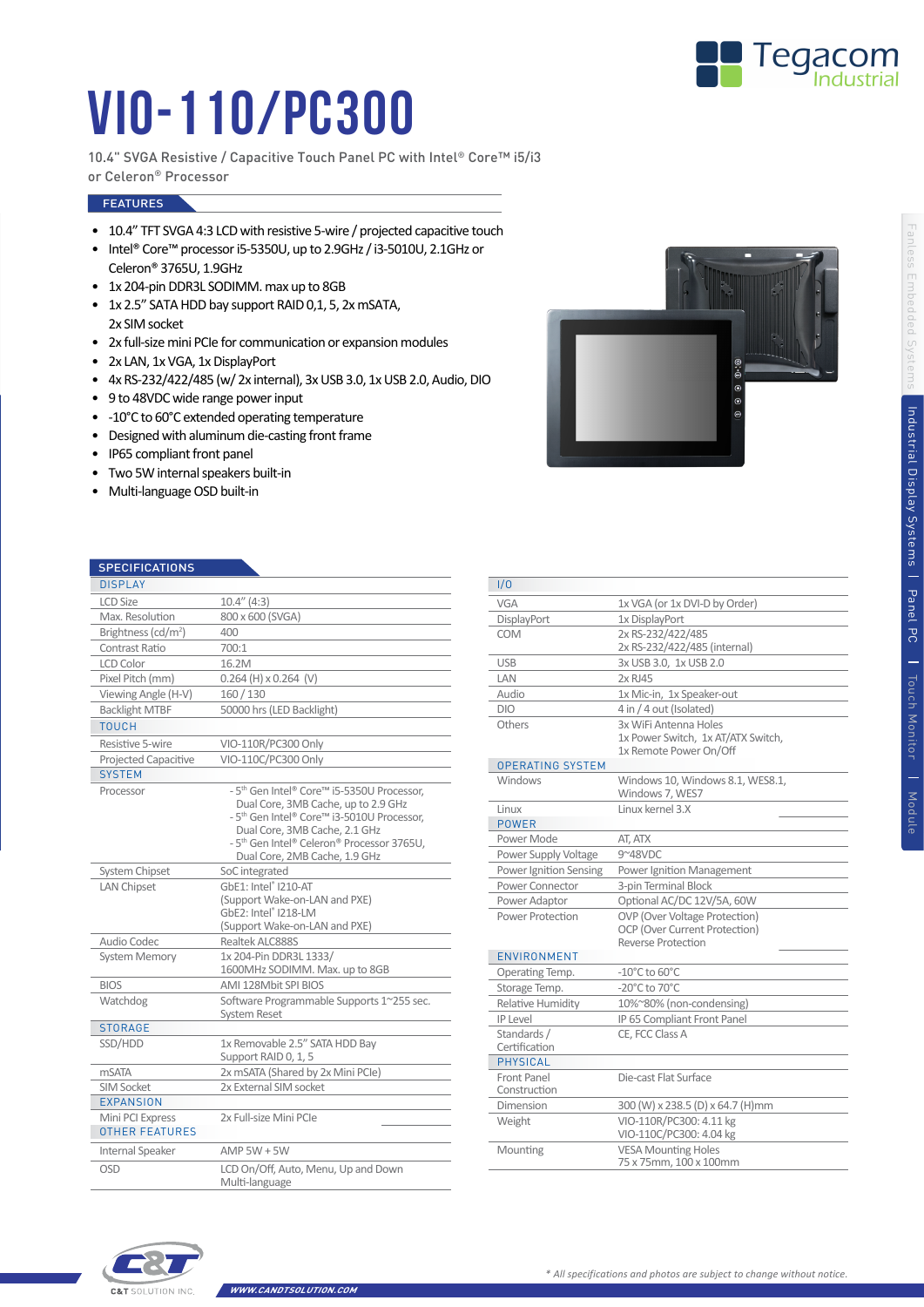

## VIO-110/PC300

10.4" SVGA Resistive / Capacitive Touch Panel PC with Intel® Core™ i5/i3 or Celeron® Processor

## **FEATURES**

- 10.4" TFT SVGA 4:3 LCD with resistive 5-wire / projected capacitive touch
- Intel® Core™ processor i5-5350U, up to 2.9GHz / i3-5010U, 2.1GHz or Celeron® 3765U, 1.9GHz
- 1x 204-pin DDR3L SODIMM. max up to 8GB
- 1x 2.5" SATA HDD bay support RAID 0,1, 5, 2x mSATA, 2x SIM socket
- 2x full-size mini PCIe for communication or expansion modules
- 2x LAN, 1x VGA, 1x DisplayPort
- 4x RS-232/422/485 (w/ 2x internal), 3x USB 3.0, 1x USB 2.0, Audio, DIO
- 9 to 48VDC wide range power input
- -10°C to 60°C extended operating temperature
- Designed with aluminum die-casting front frame
- IP65 compliant front panel
- Two 5W internal speakers built-in
- Multi-language OSD built-in



| <b>SPECIFICATIONS</b>                     |                                                                                                                                                                                                                                                                                     |  |
|-------------------------------------------|-------------------------------------------------------------------------------------------------------------------------------------------------------------------------------------------------------------------------------------------------------------------------------------|--|
| <b>DISPLAY</b>                            |                                                                                                                                                                                                                                                                                     |  |
| <b>LCD Size</b>                           | $10.4''$ (4:3)                                                                                                                                                                                                                                                                      |  |
| Max. Resolution                           | 800 x 600 (SVGA)                                                                                                                                                                                                                                                                    |  |
| Brightness ( $cd/m2$ )                    | 400                                                                                                                                                                                                                                                                                 |  |
| Contrast Ratio                            | 700:1                                                                                                                                                                                                                                                                               |  |
| <b>LCD Color</b>                          | 16.2M                                                                                                                                                                                                                                                                               |  |
| Pixel Pitch (mm)                          | $0.264$ (H) $\times$ 0.264 (V)                                                                                                                                                                                                                                                      |  |
| Viewing Angle (H-V)                       | 160 / 130                                                                                                                                                                                                                                                                           |  |
| <b>Backlight MTBF</b>                     | 50000 hrs (LED Backlight)                                                                                                                                                                                                                                                           |  |
| <b>TOUCH</b>                              |                                                                                                                                                                                                                                                                                     |  |
| Resistive 5-wire                          | VIO-110R/PC300 Only                                                                                                                                                                                                                                                                 |  |
| <b>Projected Capacitive</b>               | VIO-110C/PC300 Only                                                                                                                                                                                                                                                                 |  |
| <b>SYSTEM</b>                             |                                                                                                                                                                                                                                                                                     |  |
| Processor                                 | - 5 <sup>th</sup> Gen Intel® Core™ i5-5350U Processor,<br>Dual Core, 3MB Cache, up to 2.9 GHz<br>- 5 <sup>th</sup> Gen Intel® Core™ i3-5010U Processor,<br>Dual Core, 3MB Cache, 2.1 GHz<br>- 5 <sup>th</sup> Gen Intel® Celeron® Processor 3765U,<br>Dual Core, 2MB Cache, 1.9 GHz |  |
| System Chipset                            | SoC integrated                                                                                                                                                                                                                                                                      |  |
| <b>LAN Chipset</b>                        | GbE1: Intel® I210-AT<br>(Support Wake-on-LAN and PXE)<br>GbE2: Intel® I218-LM<br>(Support Wake-on-LAN and PXE)                                                                                                                                                                      |  |
| Audio Codec                               | Realtek ALC888S                                                                                                                                                                                                                                                                     |  |
| <b>System Memory</b>                      | 1x 204-Pin DDR3L 1333/<br>1600MHz SODIMM. Max. up to 8GB                                                                                                                                                                                                                            |  |
| <b>BIOS</b>                               | AMI 128Mbit SPI BIOS                                                                                                                                                                                                                                                                |  |
| Watchdog                                  | Software Programmable Supports 1~255 sec.<br><b>System Reset</b>                                                                                                                                                                                                                    |  |
| <b>STORAGE</b>                            |                                                                                                                                                                                                                                                                                     |  |
| SSD/HDD                                   | 1x Removable 2.5" SATA HDD Bay<br>Support RAID 0, 1, 5                                                                                                                                                                                                                              |  |
| <b>mSATA</b>                              | 2x mSATA (Shared by 2x Mini PCle)                                                                                                                                                                                                                                                   |  |
| <b>SIM Socket</b><br><b>EXPANSION</b>     | 2x External SIM socket                                                                                                                                                                                                                                                              |  |
| Mini PCI Express<br><b>OTHER FEATURES</b> | 2x Full-size Mini PCIe                                                                                                                                                                                                                                                              |  |
| Internal Speaker                          | $AMP$ 5W + 5W                                                                                                                                                                                                                                                                       |  |
| OSD                                       | LCD On/Off, Auto, Menu, Up and Down<br>Multi-language                                                                                                                                                                                                                               |  |

| 1/0                              |                                                     |  |
|----------------------------------|-----------------------------------------------------|--|
| VGA                              | 1x VGA (or 1x DVI-D by Order)                       |  |
| DisplayPort                      | 1x DisplayPort                                      |  |
| COM                              | 2x RS-232/422/485                                   |  |
|                                  | 2x RS-232/422/485 (internal)                        |  |
| <b>USB</b>                       | 3x USB 3.0, 1x USB 2.0                              |  |
| LAN                              | 2x RJ45                                             |  |
| Audio                            | 1x Mic-in, 1x Speaker-out                           |  |
| <b>DIO</b>                       | 4 in / 4 out (Isolated)                             |  |
| Others                           | 3x WiFi Antenna Holes                               |  |
|                                  | 1x Power Switch, 1x AT/ATX Switch,                  |  |
|                                  | 1x Remote Power On/Off                              |  |
| <b>OPERATING SYSTEM</b>          |                                                     |  |
| Windows                          | Windows 10, Windows 8.1, WES8.1,<br>Windows 7, WES7 |  |
| Linux                            | Linux kernel 3.X                                    |  |
| POWER                            |                                                     |  |
| Power Mode                       | AT, ATX                                             |  |
| Power Supply Voltage             | 9~48VDC                                             |  |
| Power Ignition Sensing           | Power Ignition Management                           |  |
| Power Connector                  | 3-pin Terminal Block                                |  |
| Power Adaptor                    | Optional AC/DC 12V/5A, 60W                          |  |
| Power Protection                 | OVP (Over Voltage Protection)                       |  |
|                                  | OCP (Over Current Protection)                       |  |
|                                  | <b>Reverse Protection</b>                           |  |
| ENVIRONMENT                      |                                                     |  |
| Operating Temp.                  | $-10^{\circ}$ C to 60 $^{\circ}$ C                  |  |
| Storage Temp.                    | $-20^{\circ}$ C to $70^{\circ}$ C                   |  |
| Relative Humidity                | 10%~80% (non-condensing)                            |  |
| <b>IP Level</b>                  | IP 65 Compliant Front Panel                         |  |
| Standards /                      | CE, FCC Class A                                     |  |
| Certification<br><b>PHYSICAL</b> |                                                     |  |
|                                  | Die-cast Flat Surface                               |  |
| Front Panel<br>Construction      |                                                     |  |
| Dimension                        | 300 (W) x 238.5 (D) x 64.7 (H)mm                    |  |
| Weight                           | VIO-110R/PC300: 4.11 kg                             |  |
|                                  | VIO-110C/PC300: 4.04 kg                             |  |
| Mounting                         | <b>VESA Mounting Holes</b>                          |  |
|                                  | 75 x 75mm, 100 x 100mm                              |  |
|                                  |                                                     |  |